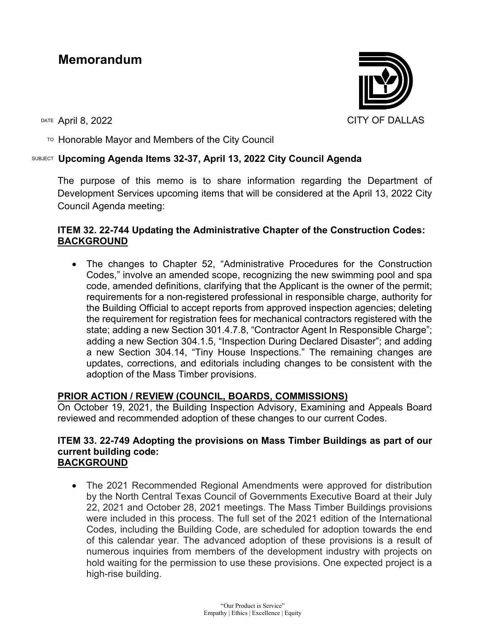# **Memorandum**



TO Honorable Mayor and Members of the City Council

# SUBJECT **Upcoming Agenda Items 32-37, April 13, 2022 City Council Agenda**

The purpose of this memo is to share information regarding the Department of Development Services upcoming items that will be considered at the April 13, 2022 City Council Agenda meeting:

# **ITEM 32. 22-744 Updating the Administrative Chapter of the Construction Codes: BACKGROUND**

• The changes to Chapter 52, "Administrative Procedures for the Construction Codes," involve an amended scope, recognizing the new swimming pool and spa code, amended definitions, clarifying that the Applicant is the owner of the permit; requirements for a non-registered professional in responsible charge, authority for the Building Official to accept reports from approved inspection agencies; deleting the requirement for registration fees for mechanical contractors registered with the state; adding a new Section 301.4.7.8, "Contractor Agent In Responsible Charge"; adding a new Section 304.1.5, "Inspection During Declared Disaster"; and adding a new Section 304.14, "Tiny House Inspections." The remaining changes are updates, corrections, and editorials including changes to be consistent with the adoption of the Mass Timber provisions.

# **PRIOR ACTION / REVIEW (COUNCIL, BOARDS, COMMISSIONS)**

On October 19, 2021, the Building Inspection Advisory, Examining and Appeals Board reviewed and recommended adoption of these changes to our current Codes.

#### **ITEM 33. 22-749 Adopting the provisions on Mass Timber Buildings as part of our current building code: BACKGROUND**

• The 2021 Recommended Regional Amendments were approved for distribution by the North Central Texas Council of Governments Executive Board at their July 22, 2021 and October 28, 2021 meetings. The Mass Timber Buildings provisions were included in this process. The full set of the 2021 edition of the International Codes, including the Building Code, are scheduled for adoption towards the end of this calendar year. The advanced adoption of these provisions is a result of numerous inquiries from members of the development industry with projects on hold waiting for the permission to use these provisions. One expected project is a high-rise building.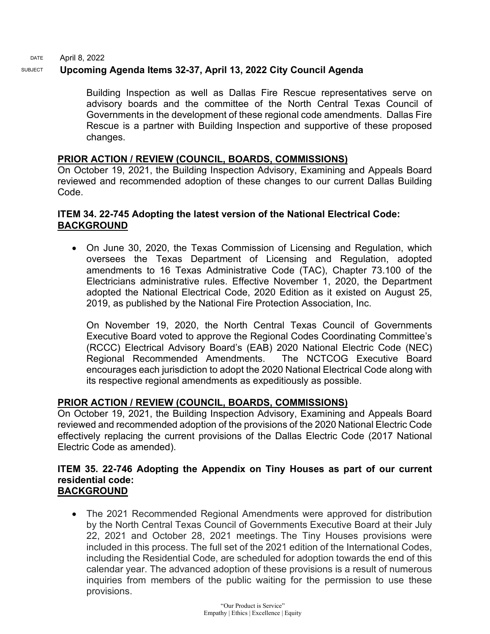DATE April 8, 2022

#### SUBJECT **Upcoming Agenda Items 32-37, April 13, 2022 City Council Agenda**

Building Inspection as well as Dallas Fire Rescue representatives serve on advisory boards and the committee of the North Central Texas Council of Governments in the development of these regional code amendments. Dallas Fire Rescue is a partner with Building Inspection and supportive of these proposed changes.

# **PRIOR ACTION / REVIEW (COUNCIL, BOARDS, COMMISSIONS)**

On October 19, 2021, the Building Inspection Advisory, Examining and Appeals Board reviewed and recommended adoption of these changes to our current Dallas Building Code.

# **ITEM 34. 22-745 Adopting the latest version of the National Electrical Code: BACKGROUND**

• On June 30, 2020, the Texas Commission of Licensing and Regulation, which oversees the Texas Department of Licensing and Regulation, adopted amendments to 16 Texas Administrative Code (TAC), Chapter 73.100 of the Electricians administrative rules. Effective November 1, 2020, the Department adopted the National Electrical Code, 2020 Edition as it existed on August 25, 2019, as published by the National Fire Protection Association, Inc.

On November 19, 2020, the North Central Texas Council of Governments Executive Board voted to approve the Regional Codes Coordinating Committee's (RCCC) Electrical Advisory Board's (EAB) 2020 National Electric Code (NEC) Regional Recommended Amendments. The NCTCOG Executive Board encourages each jurisdiction to adopt the 2020 National Electrical Code along with its respective regional amendments as expeditiously as possible.

# **PRIOR ACTION / REVIEW (COUNCIL, BOARDS, COMMISSIONS)**

On October 19, 2021, the Building Inspection Advisory, Examining and Appeals Board reviewed and recommended adoption of the provisions of the 2020 National Electric Code effectively replacing the current provisions of the Dallas Electric Code (2017 National Electric Code as amended).

#### **ITEM 35. 22-746 Adopting the Appendix on Tiny Houses as part of our current residential code: BACKGROUND**

• The 2021 Recommended Regional Amendments were approved for distribution by the North Central Texas Council of Governments Executive Board at their July 22, 2021 and October 28, 2021 meetings. The Tiny Houses provisions were included in this process. The full set of the 2021 edition of the International Codes, including the Residential Code, are scheduled for adoption towards the end of this calendar year. The advanced adoption of these provisions is a result of numerous inquiries from members of the public waiting for the permission to use these provisions.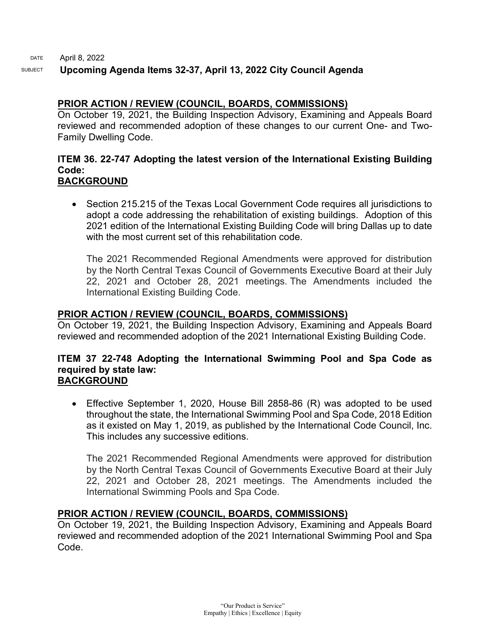DATE SUBJECT April 8, 2022 **Upcoming Agenda Items 32-37, April 13, 2022 City Council Agenda**

# **PRIOR ACTION / REVIEW (COUNCIL, BOARDS, COMMISSIONS)**

On October 19, 2021, the Building Inspection Advisory, Examining and Appeals Board reviewed and recommended adoption of these changes to our current One- and Two-Family Dwelling Code.

#### **ITEM 36. 22-747 Adopting the latest version of the International Existing Building Code: BACKGROUND**

• Section 215.215 of the Texas Local Government Code requires all jurisdictions to adopt a code addressing the rehabilitation of existing buildings. Adoption of this 2021 edition of the International Existing Building Code will bring Dallas up to date with the most current set of this rehabilitation code

The 2021 Recommended Regional Amendments were approved for distribution by the North Central Texas Council of Governments Executive Board at their July 22, 2021 and October 28, 2021 meetings. The Amendments included the International Existing Building Code.

# **PRIOR ACTION / REVIEW (COUNCIL, BOARDS, COMMISSIONS)**

On October 19, 2021, the Building Inspection Advisory, Examining and Appeals Board reviewed and recommended adoption of the 2021 International Existing Building Code.

#### **ITEM 37 22-748 Adopting the International Swimming Pool and Spa Code as required by state law: BACKGROUND**

• Effective September 1, 2020, House Bill 2858-86 (R) was adopted to be used throughout the state, the International Swimming Pool and Spa Code, 2018 Edition as it existed on May 1, 2019, as published by the International Code Council, Inc. This includes any successive editions.

The 2021 Recommended Regional Amendments were approved for distribution by the North Central Texas Council of Governments Executive Board at their July 22, 2021 and October 28, 2021 meetings. The Amendments included the International Swimming Pools and Spa Code.

# **PRIOR ACTION / REVIEW (COUNCIL, BOARDS, COMMISSIONS)**

On October 19, 2021, the Building Inspection Advisory, Examining and Appeals Board reviewed and recommended adoption of the 2021 International Swimming Pool and Spa Code.